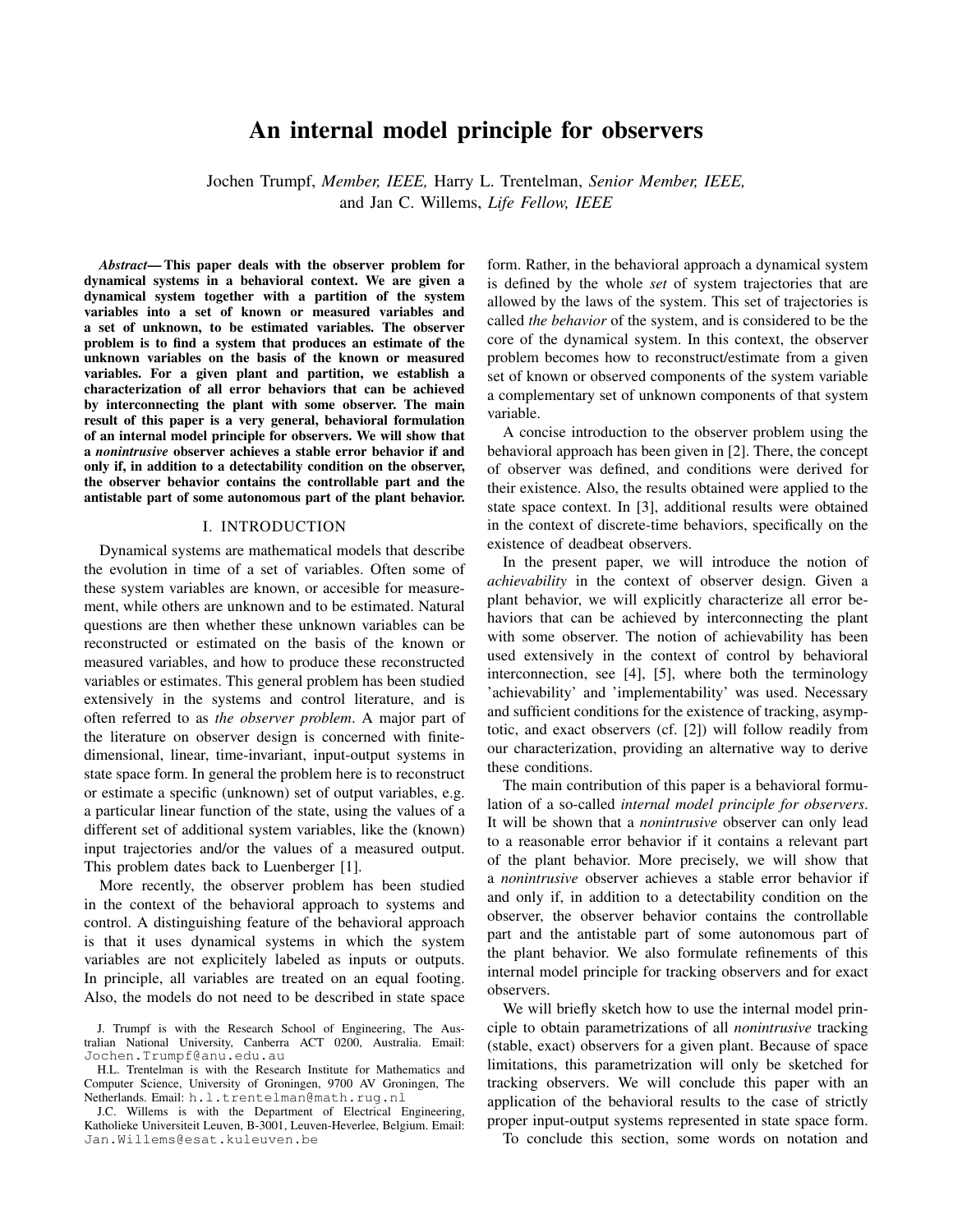# An internal model principle for observers

Jochen Trumpf, *Member, IEEE,* Harry L. Trentelman, *Senior Member, IEEE,* and Jan C. Willems, *Life Fellow, IEEE*

*Abstract*— This paper deals with the observer problem for dynamical systems in a behavioral context. We are given a dynamical system together with a partition of the system variables into a set of known or measured variables and a set of unknown, to be estimated variables. The observer problem is to find a system that produces an estimate of the unknown variables on the basis of the known or measured variables. For a given plant and partition, we establish a characterization of all error behaviors that can be achieved by interconnecting the plant with some observer. The main result of this paper is a very general, behavioral formulation of an internal model principle for observers. We will show that a *nonintrusive* observer achieves a stable error behavior if and only if, in addition to a detectability condition on the observer, the observer behavior contains the controllable part and the antistable part of some autonomous part of the plant behavior.

## I. INTRODUCTION

Dynamical systems are mathematical models that describe the evolution in time of a set of variables. Often some of these system variables are known, or accesible for measurement, while others are unknown and to be estimated. Natural questions are then whether these unknown variables can be reconstructed or estimated on the basis of the known or measured variables, and how to produce these reconstructed variables or estimates. This general problem has been studied extensively in the systems and control literature, and is often referred to as *the observer problem*. A major part of the literature on observer design is concerned with finitedimensional, linear, time-invariant, input-output systems in state space form. In general the problem here is to reconstruct or estimate a specific (unknown) set of output variables, e.g. a particular linear function of the state, using the values of a different set of additional system variables, like the (known) input trajectories and/or the values of a measured output. This problem dates back to Luenberger [1].

More recently, the observer problem has been studied in the context of the behavioral approach to systems and control. A distinguishing feature of the behavioral approach is that it uses dynamical systems in which the system variables are not explicitely labeled as inputs or outputs. In principle, all variables are treated on an equal footing. Also, the models do not need to be described in state space

form. Rather, in the behavioral approach a dynamical system is defined by the whole *set* of system trajectories that are allowed by the laws of the system. This set of trajectories is called *the behavior* of the system, and is considered to be the core of the dynamical system. In this context, the observer problem becomes how to reconstruct/estimate from a given set of known or observed components of the system variable a complementary set of unknown components of that system variable.

A concise introduction to the observer problem using the behavioral approach has been given in [2]. There, the concept of observer was defined, and conditions were derived for their existence. Also, the results obtained were applied to the state space context. In [3], additional results were obtained in the context of discrete-time behaviors, specifically on the existence of deadbeat observers.

In the present paper, we will introduce the notion of *achievability* in the context of observer design. Given a plant behavior, we will explicitly characterize all error behaviors that can be achieved by interconnecting the plant with some observer. The notion of achievability has been used extensively in the context of control by behavioral interconnection, see [4], [5], where both the terminology 'achievability' and 'implementability' was used. Necessary and sufficient conditions for the existence of tracking, asymptotic, and exact observers (cf. [2]) will follow readily from our characterization, providing an alternative way to derive these conditions.

The main contribution of this paper is a behavioral formulation of a so-called *internal model principle for observers*. It will be shown that a *nonintrusive* observer can only lead to a reasonable error behavior if it contains a relevant part of the plant behavior. More precisely, we will show that a *nonintrusive* observer achieves a stable error behavior if and only if, in addition to a detectability condition on the observer, the observer behavior contains the controllable part and the antistable part of some autonomous part of the plant behavior. We also formulate refinements of this internal model principle for tracking observers and for exact observers.

We will briefly sketch how to use the internal model principle to obtain parametrizations of all *nonintrusive* tracking (stable, exact) observers for a given plant. Because of space limitations, this parametrization will only be sketched for tracking observers. We will conclude this paper with an application of the behavioral results to the case of strictly proper input-output systems represented in state space form.

To conclude this section, some words on notation and

J. Trumpf is with the Research School of Engineering, The Australian National University, Canberra ACT 0200, Australia. Email: Jochen.Trumpf@anu.edu.au

H.L. Trentelman is with the Research Institute for Mathematics and Computer Science, University of Groningen, 9700 AV Groningen, The Netherlands. Email: h.l.trentelman@math.rug.nl

J.C. Willems is with the Department of Electrical Engineering, Katholieke Universiteit Leuven, B-3001, Leuven-Heverlee, Belgium. Email: Jan.Willems@esat.kuleuven.be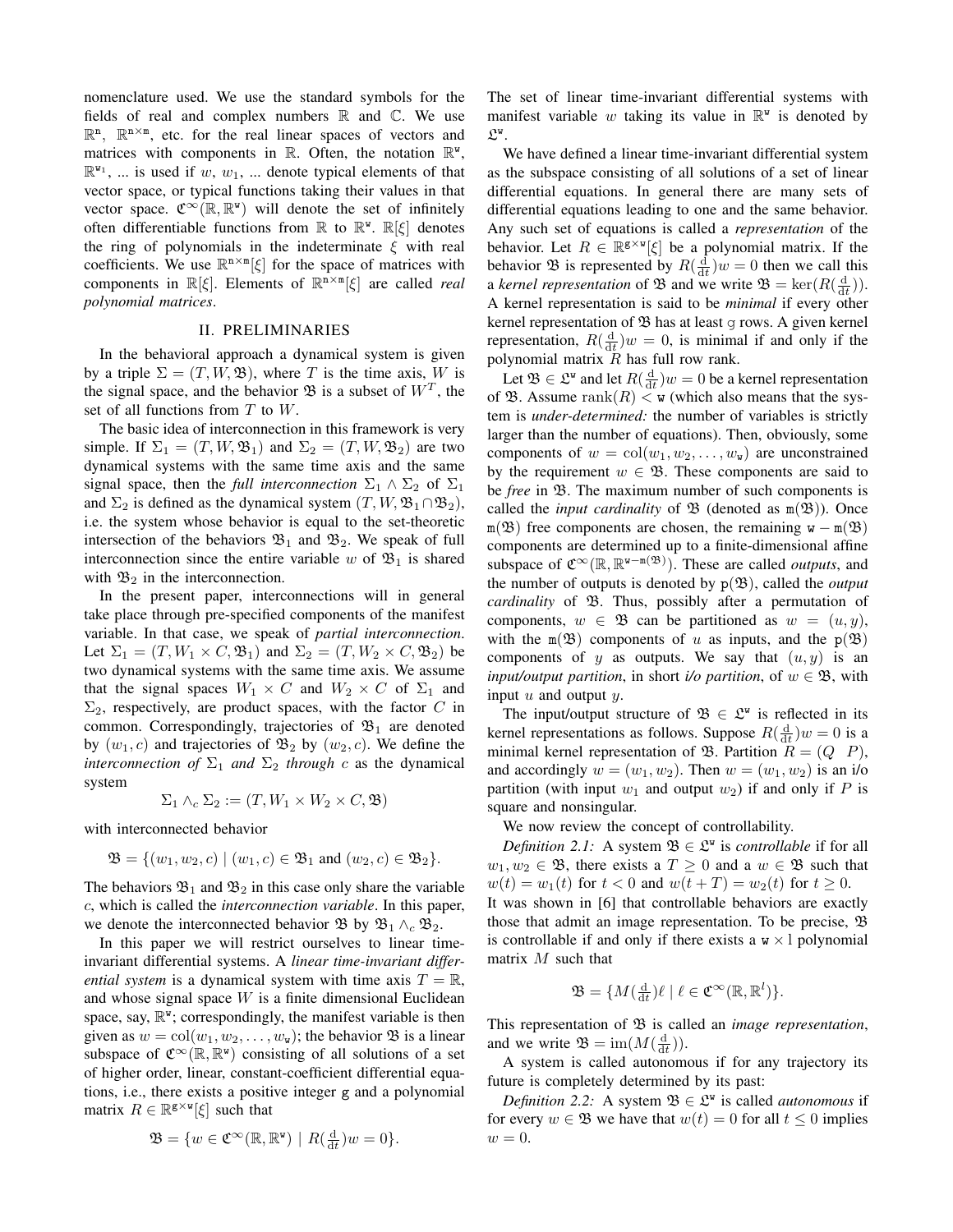nomenclature used. We use the standard symbols for the fields of real and complex numbers  $\mathbb R$  and  $\mathbb C$ . We use  $\mathbb{R}^n$ ,  $\mathbb{R}^{n \times m}$ , etc. for the real linear spaces of vectors and matrices with components in  $\mathbb R$ . Often, the notation  $\mathbb R^w$ ,  $\mathbb{R}^{v_1}$ , ... is used if w, w<sub>1</sub>, ... denote typical elements of that vector space, or typical functions taking their values in that vector space.  $\mathfrak{C}^{\infty}(\mathbb{R}, \mathbb{R}^w)$  will denote the set of infinitely often differentiable functions from  $\mathbb R$  to  $\mathbb R^w$ .  $\mathbb R[\xi]$  denotes the ring of polynomials in the indeterminate  $\xi$  with real coefficients. We use  $\mathbb{R}^{n \times m}[\xi]$  for the space of matrices with components in  $\mathbb{R}[\xi]$ . Elements of  $\mathbb{R}^{n \times m}[\xi]$  are called *real polynomial matrices*.

# II. PRELIMINARIES

In the behavioral approach a dynamical system is given by a triple  $\Sigma = (T, W, \mathfrak{B})$ , where T is the time axis, W is the signal space, and the behavior  $\mathfrak{B}$  is a subset of  $W^T$ , the set of all functions from  $T$  to  $W$ .

The basic idea of interconnection in this framework is very simple. If  $\Sigma_1 = (T, W, \mathfrak{B}_1)$  and  $\Sigma_2 = (T, W, \mathfrak{B}_2)$  are two dynamical systems with the same time axis and the same signal space, then the *full interconnection*  $\Sigma_1 \wedge \Sigma_2$  of  $\Sigma_1$ and  $\Sigma_2$  is defined as the dynamical system  $(T, W, \mathfrak{B}_1 \cap \mathfrak{B}_2)$ , i.e. the system whose behavior is equal to the set-theoretic intersection of the behaviors  $\mathfrak{B}_1$  and  $\mathfrak{B}_2$ . We speak of full interconnection since the entire variable w of  $\mathfrak{B}_1$  is shared with  $\mathfrak{B}_2$  in the interconnection.

In the present paper, interconnections will in general take place through pre-specified components of the manifest variable. In that case, we speak of *partial interconnection*. Let  $\Sigma_1 = (T, W_1 \times C, \mathfrak{B}_1)$  and  $\Sigma_2 = (T, W_2 \times C, \mathfrak{B}_2)$  be two dynamical systems with the same time axis. We assume that the signal spaces  $W_1 \times C$  and  $W_2 \times C$  of  $\Sigma_1$  and  $\Sigma_2$ , respectively, are product spaces, with the factor C in common. Correspondingly, trajectories of  $\mathfrak{B}_1$  are denoted by  $(w_1, c)$  and trajectories of  $\mathfrak{B}_2$  by  $(w_2, c)$ . We define the *interconnection of*  $\Sigma_1$  *and*  $\Sigma_2$  *through* c as the dynamical system

$$
\Sigma_1 \wedge_c \Sigma_2 := (T, W_1 \times W_2 \times C, \mathfrak{B})
$$

with interconnected behavior

$$
\mathfrak{B} = \{ (w_1, w_2, c) \mid (w_1, c) \in \mathfrak{B}_1 \text{ and } (w_2, c) \in \mathfrak{B}_2 \}.
$$

The behaviors  $\mathfrak{B}_1$  and  $\mathfrak{B}_2$  in this case only share the variable c, which is called the *interconnection variable*. In this paper, we denote the interconnected behavior  $\mathfrak{B}$  by  $\mathfrak{B}_1 \wedge_c \mathfrak{B}_2$ .

In this paper we will restrict ourselves to linear timeinvariant differential systems. A *linear time-invariant differential system* is a dynamical system with time axis  $T = \mathbb{R}$ , and whose signal space  $W$  is a finite dimensional Euclidean space, say,  $\mathbb{R}^{\overline{w}}$ ; correspondingly, the manifest variable is then given as  $w = col(w_1, w_2, \dots, w_w)$ ; the behavior  $\mathfrak{B}$  is a linear subspace of  $\mathfrak{C}^{\infty}(\mathbb{R}, \mathbb{R}^{\mathsf{w}})$  consisting of all solutions of a set of higher order, linear, constant-coefficient differential equations, i.e., there exists a positive integer g and a polynomial matrix  $R \in \mathbb{R}^{\mathsf{g} \times \mathsf{w}}[\xi]$  such that

$$
\mathfrak{B} = \{ w \in \mathfrak{C}^{\infty}(\mathbb{R}, \mathbb{R}^{\mathbf{w}}) \mid R(\frac{\mathrm{d}}{\mathrm{d}t})w = 0 \}.
$$

The set of linear time-invariant differential systems with manifest variable w taking its value in  $\mathbb{R}^w$  is denoted by  $\mathfrak{L}^{\mathtt{w}}$ .

We have defined a linear time-invariant differential system as the subspace consisting of all solutions of a set of linear differential equations. In general there are many sets of differential equations leading to one and the same behavior. Any such set of equations is called a *representation* of the behavior. Let  $R \in \mathbb{R}^{\mathsf{g} \times \mathsf{w}}[\xi]$  be a polynomial matrix. If the behavior  $\mathfrak{B}$  is represented by  $R(\frac{d}{dt})w = 0$  then we call this a *kernel representation* of  $\mathfrak{B}$  and we write  $\mathfrak{B} = \ker(R(\frac{d}{dt}))$ . A kernel representation is said to be *minimal* if every other kernel representation of  $\mathfrak B$  has at least g rows. A given kernel representation,  $R(\frac{d}{dt})w = 0$ , is minimal if and only if the polynomial matrix  $R$  has full row rank.

Let  $\mathfrak{B} \in \mathfrak{L}^{\mathsf{w}}$  and let  $R(\frac{\mathrm{d}}{\mathrm{d}t})w = 0$  be a kernel representation of  $\mathfrak{B}$ . Assume rank $(R) < w$  (which also means that the system is *under-determined:* the number of variables is strictly larger than the number of equations). Then, obviously, some components of  $w = col(w_1, w_2, \dots, w_w)$  are unconstrained by the requirement  $w \in \mathfrak{B}$ . These components are said to be *free* in  $\mathfrak{B}$ . The maximum number of such components is called the *input cardinality* of  $\mathfrak{B}$  (denoted as  $m(\mathfrak{B})$ ). Once  $m(\mathfrak{B})$  free components are chosen, the remaining w –  $m(\mathfrak{B})$ components are determined up to a finite-dimensional affine subspace of  $\mathfrak{C}^{\infty}(\mathbb{R}, \mathbb{R}^{w-m(\mathfrak{B})})$ . These are called *outputs*, and the number of outputs is denoted by  $p(\mathfrak{B})$ , called the *output cardinality* of B. Thus, possibly after a permutation of components,  $w \in \mathfrak{B}$  can be partitioned as  $w = (u, y)$ , with the  $m(\mathfrak{B})$  components of u as inputs, and the  $p(\mathfrak{B})$ components of y as outputs. We say that  $(u, y)$  is an *input/output partition*, in short *i/o partition*, of  $w \in \mathcal{B}$ , with input  $u$  and output  $y$ .

The input/output structure of  $\mathfrak{B} \in \mathfrak{L}^w$  is reflected in its kernel representations as follows. Suppose  $R(\frac{d}{dt})w = 0$  is a minimal kernel representation of  $\mathfrak{B}$ . Partition  $R = (Q \ P)$ , and accordingly  $w = (w_1, w_2)$ . Then  $w = (w_1, w_2)$  is an i/o partition (with input  $w_1$  and output  $w_2$ ) if and only if P is square and nonsingular.

We now review the concept of controllability.

*Definition 2.1:* A system  $\mathfrak{B} \in \mathfrak{L}^{\mathbf{w}}$  is *controllable* if for all  $w_1, w_2 \in \mathfrak{B}$ , there exists a  $T \geq 0$  and a  $w \in \mathfrak{B}$  such that  $w(t) = w_1(t)$  for  $t < 0$  and  $w(t + T) = w_2(t)$  for  $t \ge 0$ . It was shown in [6] that controllable behaviors are exactly those that admit an image representation. To be precise,  $\mathfrak B$ 

is controllable if and only if there exists a  $w \times l$  polynomial matrix  $M$  such that

$$
\mathfrak{B} = \{ M(\tfrac{\mathrm{d}}{\mathrm{d}t}) \ell \mid \ell \in \mathfrak{C}^{\infty}(\mathbb{R}, \mathbb{R}^l) \}.
$$

This representation of B is called an *image representation*, and we write  $\mathfrak{B} = \text{im}(M(\frac{d}{dt}))$ .

A system is called autonomous if for any trajectory its future is completely determined by its past:

*Definition 2.2:* A system  $\mathfrak{B} \in \mathfrak{L}^w$  is called *autonomous* if for every  $w \in \mathfrak{B}$  we have that  $w(t) = 0$  for all  $t \leq 0$  implies  $w = 0$ .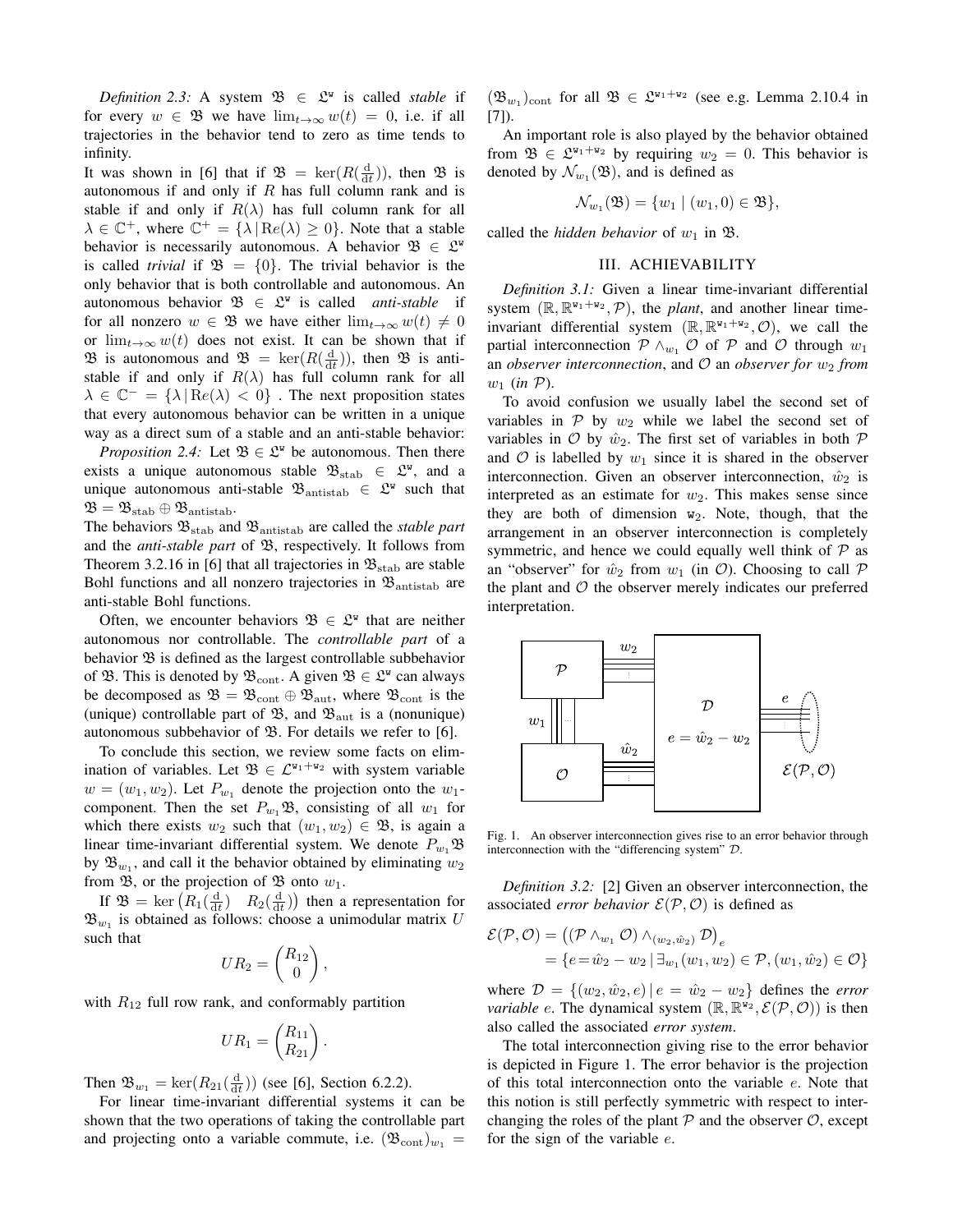*Definition 2.3:* A system  $\mathfrak{B} \in \mathfrak{L}^w$  is called *stable* if for every  $w \in \mathfrak{B}$  we have  $\lim_{t\to\infty} w(t) = 0$ , i.e. if all trajectories in the behavior tend to zero as time tends to infinity.

It was shown in [6] that if  $\mathfrak{B} = \ker(R(\frac{d}{dt}))$ , then  $\mathfrak{B}$  is autonomous if and only if  $R$  has full column rank and is stable if and only if  $R(\lambda)$  has full column rank for all  $\lambda \in \mathbb{C}^+$ , where  $\mathbb{C}^+ = {\lambda | \text{Re}(\lambda) \geq 0}$ . Note that a stable behavior is necessarily autonomous. A behavior  $\mathfrak{B} \in \mathcal{L}^w$ is called *trivial* if  $\mathfrak{B} = \{0\}$ . The trivial behavior is the only behavior that is both controllable and autonomous. An autonomous behavior  $\mathfrak{B} \in \mathfrak{L}^w$  is called *anti-stable* if for all nonzero  $w \in \mathfrak{B}$  we have either  $\lim_{t\to\infty} w(t) \neq 0$ or  $\lim_{t\to\infty} w(t)$  does not exist. It can be shown that if  $\mathfrak{B}$  is autonomous and  $\mathfrak{B} = \ker(R(\frac{d}{dt}))$ , then  $\mathfrak{B}$  is antistable if and only if  $R(\lambda)$  has full column rank for all  $\lambda \in \mathbb{C}^- = {\lambda | \text{Re}(\lambda) < 0}$ . The next proposition states that every autonomous behavior can be written in a unique way as a direct sum of a stable and an anti-stable behavior:

*Proposition 2.4:* Let  $\mathfrak{B} \in \mathfrak{L}^w$  be autonomous. Then there exists a unique autonomous stable  $\mathfrak{B}_{\text{stab}} \in \mathfrak{L}^w$ , and a unique autonomous anti-stable  $\mathfrak{B}_{\text{antistab}} \in \mathfrak{L}^{\mathsf{w}}$  such that  $\mathfrak{B} = \mathfrak{B}_{\rm stab} \oplus \mathfrak{B}_{\rm antistab}.$ 

The behaviors Bstab and Bantistab are called the *stable part* and the *anti-stable part* of  $\mathfrak{B}$ , respectively. It follows from Theorem 3.2.16 in [6] that all trajectories in  $\mathfrak{B}_{\text{stab}}$  are stable Bohl functions and all nonzero trajectories in  $\mathfrak{B}_{\text{antistab}}$  are anti-stable Bohl functions.

Often, we encounter behaviors  $\mathfrak{B} \in \mathfrak{L}^w$  that are neither autonomous nor controllable. The *controllable part* of a behavior  $\mathfrak B$  is defined as the largest controllable subbehavior of  $\mathfrak{B}$ . This is denoted by  $\mathfrak{B}_{\text{cont}}$ . A given  $\mathfrak{B} \in \mathfrak{L}^w$  can always be decomposed as  $\mathfrak{B} = \mathfrak{B}_{\text{cont}} \oplus \mathfrak{B}_{\text{aut}}$ , where  $\mathfrak{B}_{\text{cont}}$  is the (unique) controllable part of  $\mathfrak{B}$ , and  $\mathfrak{B}_{\text{aut}}$  is a (nonunique) autonomous subbehavior of  $\mathfrak{B}$ . For details we refer to [6].

To conclude this section, we review some facts on elimination of variables. Let  $\mathfrak{B} \in \mathcal{L}^{w_1 + w_2}$  with system variable  $w = (w_1, w_2)$ . Let  $P_{w_1}$  denote the projection onto the  $w_1$ component. Then the set  $P_{w_1} \mathfrak{B}$ , consisting of all  $w_1$  for which there exists  $w_2$  such that  $(w_1, w_2) \in \mathfrak{B}$ , is again a linear time-invariant differential system. We denote  $P_{w_1}\mathfrak{B}$ by  $\mathfrak{B}_{w_1}$ , and call it the behavior obtained by eliminating  $w_2$ from  $\mathfrak{B}$ , or the projection of  $\mathfrak{B}$  onto  $w_1$ .

If  $\mathfrak{B} = \ker (R_1(\frac{d}{dt}) \ R_2(\frac{d}{dt}))$  then a representation for  $\mathfrak{B}_{w_1}$  is obtained as follows: choose a unimodular matrix U such that

$$
UR_2 = \begin{pmatrix} R_{12} \\ 0 \end{pmatrix},
$$

with  $R_{12}$  full row rank, and conformably partition

$$
UR_1 = \begin{pmatrix} R_{11} \\ R_{21} \end{pmatrix}.
$$

Then  $\mathfrak{B}_{w_1} = \ker(R_{21}(\frac{d}{dt}))$  (see [6], Section 6.2.2).

For linear time-invariant differential systems it can be shown that the two operations of taking the controllable part and projecting onto a variable commute, i.e.  $(\mathfrak{B}_{\text{cont}})_{w_1}$  =

 $(\mathfrak{B}_{w_1})_{\text{cont}}$  for all  $\mathfrak{B} \in \mathfrak{L}^{w_1 + w_2}$  (see e.g. Lemma 2.10.4 in [7]).

An important role is also played by the behavior obtained from  $\mathfrak{B} \in \mathfrak{L}^{w_1 + w_2}$  by requiring  $w_2 = 0$ . This behavior is denoted by  $\mathcal{N}_{w_1}(\mathfrak{B})$ , and is defined as

$$
\mathcal{N}_{w_1}(\mathfrak{B}) = \{w_1 \mid (w_1, 0) \in \mathfrak{B}\},\
$$

called the *hidden behavior* of  $w_1$  in  $\mathfrak{B}$ .

# III. ACHIEVABILITY

*Definition 3.1:* Given a linear time-invariant differential system  $(\mathbb{R}, \mathbb{R}^{w_1+w_2}, \mathcal{P})$ , the *plant*, and another linear timeinvariant differential system  $(\mathbb{R}, \mathbb{R}^{w_1+w_2}, \mathcal{O})$ , we call the partial interconnection  $\mathcal{P} \wedge_{w_1} \mathcal{O}$  of  $\mathcal{P}$  and  $\mathcal{O}$  through  $w_1$ an *observer interconnection*, and  $\mathcal O$  an *observer for*  $w_2$  *from*  $w_1$  (*in*  $\mathcal{P}$ ).

To avoid confusion we usually label the second set of variables in  $P$  by  $w_2$  while we label the second set of variables in  $\mathcal O$  by  $\hat w_2$ . The first set of variables in both  $\mathcal P$ and  $\mathcal O$  is labelled by  $w_1$  since it is shared in the observer interconnection. Given an observer interconnection,  $\hat{w}_2$  is interpreted as an estimate for  $w_2$ . This makes sense since they are both of dimension  $w_2$ . Note, though, that the arrangement in an observer interconnection is completely symmetric, and hence we could equally well think of  $P$  as an "observer" for  $\hat{w}_2$  from  $w_1$  (in  $\hat{O}$ ). Choosing to call  $\hat{P}$ the plant and  $O$  the observer merely indicates our preferred interpretation.



Fig. 1. An observer interconnection gives rise to an error behavior through interconnection with the "differencing system" D.

*Definition 3.2:* [2] Given an observer interconnection, the associated *error behavior*  $\mathcal{E}(\mathcal{P}, \mathcal{O})$  is defined as

$$
\mathcal{E}(\mathcal{P}, \mathcal{O}) = ((\mathcal{P} \wedge_{w_1} \mathcal{O}) \wedge_{(w_2, \hat{w}_2)} \mathcal{D})_e
$$
  
=  $\{e = \hat{w}_2 - w_2 \mid \exists_{w_1}(w_1, w_2) \in \mathcal{P}, (w_1, \hat{w}_2) \in \mathcal{O}\}\$ 

where  $\mathcal{D} = \{(w_2, \hat{w}_2, e) | e = \hat{w}_2 - w_2\}$  defines the *error variable e*. The dynamical system  $(\mathbb{R}, \mathbb{R}^{\mathbf{w}_2}, \mathcal{E}(\mathcal{P}, \mathcal{O}))$  is then also called the associated *error system*.

The total interconnection giving rise to the error behavior is depicted in Figure 1. The error behavior is the projection of this total interconnection onto the variable e. Note that this notion is still perfectly symmetric with respect to interchanging the roles of the plant  $P$  and the observer  $O$ , except for the sign of the variable e.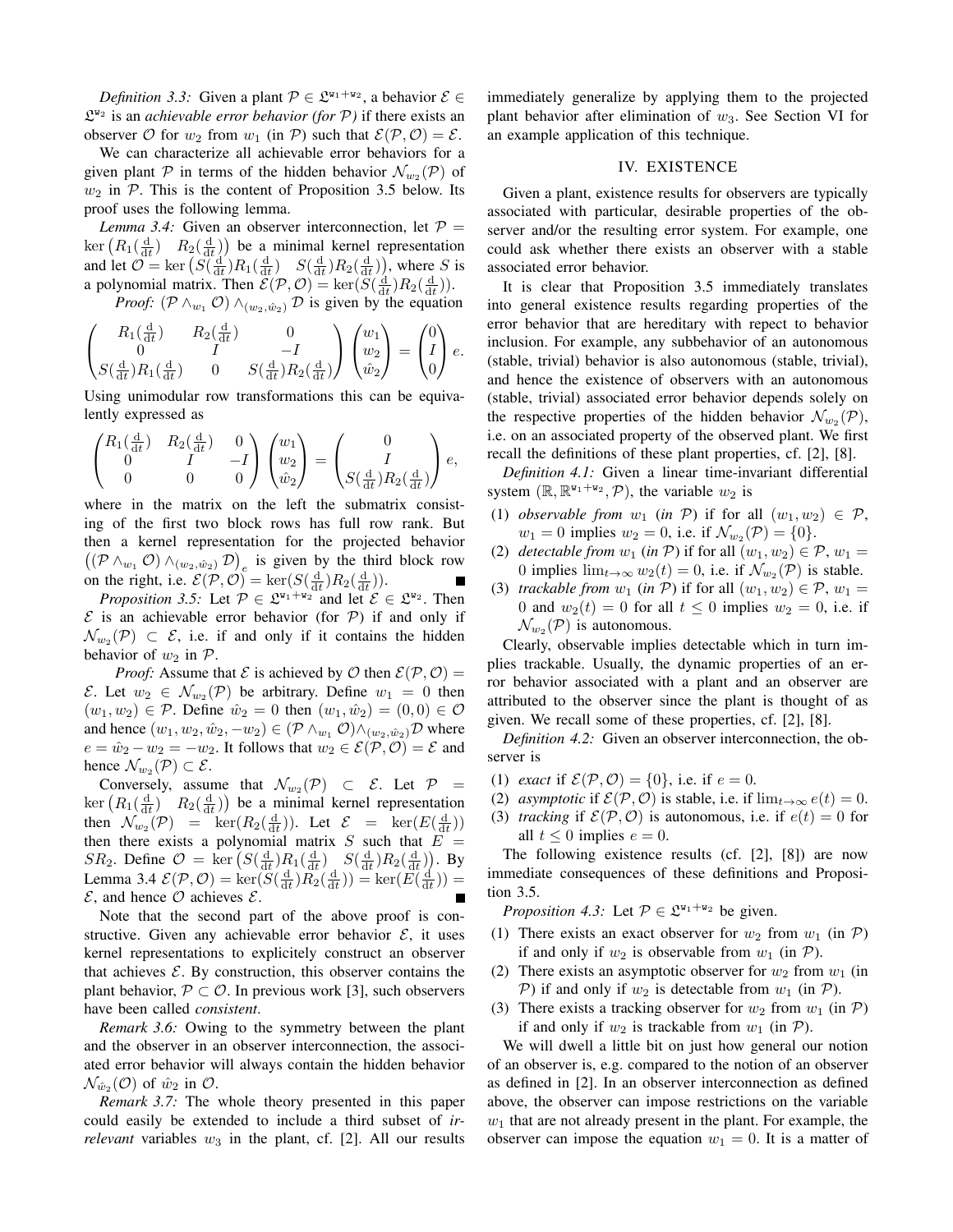*Definition 3.3:* Given a plant  $P \in \mathcal{L}^{w_1 + w_2}$ , a behavior  $\mathcal{E} \in$  $\mathfrak{L}^{\mathbf{w}_2}$  is an *achievable error behavior (for*  $\mathcal{P}$ ) if there exists an observer O for  $w_2$  from  $w_1$  (in P) such that  $\mathcal{E}(\mathcal{P}, \mathcal{O}) = \mathcal{E}$ .

We can characterize all achievable error behaviors for a given plant  $P$  in terms of the hidden behavior  $\mathcal{N}_{w_2}(P)$  of  $w_2$  in  $P$ . This is the content of Proposition 3.5 below. Its proof uses the following lemma.

*Lemma 3.4:* Given an observer interconnection, let  $P =$  $\ker (R_1(\frac{d}{dt})$   $R_2(\frac{d}{dt})$  be a minimal kernel representation and let  $\mathcal{O} = \ker \left( S \left( \frac{d}{dt} \right) R_1 \left( \frac{d}{dt} \right) - S \left( \frac{d}{dt} \right) R_2 \left( \frac{d}{dt} \right) \right)$ , where S is a polynomial matrix. Then  $\widetilde{\mathcal{E}}(\mathcal{P}, \mathcal{O}) = \ker(\widetilde{S}(\frac{d}{dt})R_2(\frac{d}{dt}))$ .

*Proof:*  $(\mathcal{P} \wedge_{w_1} \mathcal{O}) \wedge_{(w_2,\hat{w}_2)} \mathcal{D}$  is given by the equation

$$
\begin{pmatrix}\nR_1\left(\frac{\mathrm{d}}{\mathrm{d}t}\right) & R_2\left(\frac{\mathrm{d}}{\mathrm{d}t}\right) & 0 \\
0 & I & -I \\
S\left(\frac{\mathrm{d}}{\mathrm{d}t}\right)R_1\left(\frac{\mathrm{d}}{\mathrm{d}t}\right) & 0 & S\left(\frac{\mathrm{d}}{\mathrm{d}t}\right)R_2\left(\frac{\mathrm{d}}{\mathrm{d}t}\right)\n\end{pmatrix}\n\begin{pmatrix}\nw_1 \\
w_2 \\
\hat{w}_2\n\end{pmatrix} = \begin{pmatrix}\n0 \\
I \\
0\n\end{pmatrix}e.
$$

Using unimodular row transformations this can be equivalently expressed as

$$
\begin{pmatrix}\nR_1\left(\frac{\mathrm{d}}{\mathrm{d}t}\right) & R_2\left(\frac{\mathrm{d}}{\mathrm{d}t}\right) & 0 \\
0 & I & -I \\
0 & 0 & 0\n\end{pmatrix}\n\begin{pmatrix}\nw_1 \\
w_2 \\
\hat{w}_2\n\end{pmatrix} = \begin{pmatrix}\n0 \\
I \\
S\left(\frac{\mathrm{d}}{\mathrm{d}t}\right)R_2\left(\frac{\mathrm{d}}{\mathrm{d}t}\right)\n\end{pmatrix} e,
$$

where in the matrix on the left the submatrix consisting of the first two block rows has full row rank. But then a kernel representation for the projected behavior  $((\mathcal{P} \wedge_{w_1} \mathcal{O}) \wedge_{(w_2,\hat{w}_2)} \mathcal{D})_e$  is given by the third block row on the right, i.e.  $\mathcal{E}(\mathcal{P}, \mathcal{O}) = \ker(S(\frac{d}{dt})R_2(\frac{d}{dt}))$ .

*Proposition 3.5:* Let  $P \in \mathcal{L}^{w_1+w_2}$  and let  $\mathcal{E} \in \mathcal{L}^{w_2}$ . Then  $\mathcal E$  is an achievable error behavior (for  $\mathcal P$ ) if and only if  $\mathcal{N}_{w_2}(\mathcal{P}) \subset \mathcal{E}$ , i.e. if and only if it contains the hidden behavior of  $w_2$  in  $\mathcal{P}$ .

*Proof:* Assume that  $\mathcal E$  is achieved by  $\mathcal O$  then  $\mathcal E(\mathcal P, \mathcal O)$  = E. Let  $w_2 \in \mathcal{N}_{w_2}(\mathcal{P})$  be arbitrary. Define  $w_1 = 0$  then  $(w_1, w_2) \in \mathcal{P}$ . Define  $\hat{w}_2 = 0$  then  $(w_1, \hat{w}_2) = (0, 0) \in \mathcal{O}$ and hence  $(w_1, w_2, \hat{w}_2, -w_2) \in (\mathcal{P} \wedge_{w_1} \mathcal{O}) \wedge_{(w_2, \hat{w}_2)} \mathcal{D}$  where  $e = \hat{w}_2 - w_2 = -w_2$ . It follows that  $w_2 \in \mathcal{E}(\mathcal{P}, \mathcal{O}) = \mathcal{E}$  and hence  $\mathcal{N}_{w_2}(\mathcal{P}) \subset \mathcal{E}$ .

Conversely, assume that  $\mathcal{N}_{w_2}(\mathcal{P}) \subset \mathcal{E}$ . Let  $\mathcal{P} =$  $\ker (R_1(\frac{d}{dt})$   $R_2(\frac{d}{dt}))$  be a minimal kernel representation then  $\mathcal{N}_{w_2}(\mathcal{P}) = \text{ker}(R_2(\frac{d}{dt}))$ . Let  $\mathcal{E} = \text{ker}(E(\frac{d}{dt}))$ then there exists a polynomial matrix S such that  $E =$  $SR_2$ . Define  $\mathcal{O} = \ker \left( S(\frac{d}{dt}) R_1(\frac{d}{dt}) S(\frac{d}{dt}) R_2(\frac{d}{dt}) \right)$ . By Lemma 3.4  $\mathcal{E}(\mathcal{P}, \mathcal{O}) = \ker(\widetilde{S}(\frac{d}{dt}) \widetilde{R_2}(\frac{d}{dt})) = \ker(\widetilde{E}(\frac{d}{dt})) =$  $\mathcal{E}$ , and hence  $\mathcal O$  achieves  $\mathcal{E}$ .

Note that the second part of the above proof is constructive. Given any achievable error behavior  $\mathcal{E}$ , it uses kernel representations to explicitely construct an observer that achieves  $\mathcal{E}$ . By construction, this observer contains the plant behavior,  $P \subset \mathcal{O}$ . In previous work [3], such observers have been called *consistent*.

*Remark 3.6:* Owing to the symmetry between the plant and the observer in an observer interconnection, the associated error behavior will always contain the hidden behavior  $\mathcal{N}_{\hat{w}_2}(\mathcal{O})$  of  $\hat{w}_2$  in  $\mathcal{O}.$ 

*Remark 3.7:* The whole theory presented in this paper could easily be extended to include a third subset of *irrelevant* variables  $w_3$  in the plant, cf. [2]. All our results immediately generalize by applying them to the projected plant behavior after elimination of  $w_3$ . See Section VI for an example application of this technique.

## IV. EXISTENCE

Given a plant, existence results for observers are typically associated with particular, desirable properties of the observer and/or the resulting error system. For example, one could ask whether there exists an observer with a stable associated error behavior.

It is clear that Proposition 3.5 immediately translates into general existence results regarding properties of the error behavior that are hereditary with repect to behavior inclusion. For example, any subbehavior of an autonomous (stable, trivial) behavior is also autonomous (stable, trivial), and hence the existence of observers with an autonomous (stable, trivial) associated error behavior depends solely on the respective properties of the hidden behavior  $\mathcal{N}_{w_2}(\mathcal{P})$ , i.e. on an associated property of the observed plant. We first recall the definitions of these plant properties, cf. [2], [8].

*Definition 4.1:* Given a linear time-invariant differential system  $(\mathbb{R}, \mathbb{R}^{w_1+w_2}, \mathcal{P})$ , the variable  $w_2$  is

- (1) *observable from*  $w_1$  (*in*  $\mathcal{P}$ ) if for all  $(w_1, w_2) \in \mathcal{P}$ ,  $w_1 = 0$  implies  $w_2 = 0$ , i.e. if  $\mathcal{N}_{w_2}(\mathcal{P}) = \{0\}.$
- (2) *detectable from*  $w_1$  (*in*  $P$ ) if for all  $(w_1, w_2) \in P$ ,  $w_1 =$ 0 implies  $\lim_{t\to\infty} w_2(t) = 0$ , i.e. if  $\mathcal{N}_{w_2}(\mathcal{P})$  is stable.
- (3) *trackable from*  $w_1$  (*in*  $P$ ) if for all  $(w_1, w_2) \in P$ ,  $w_1 =$ 0 and  $w_2(t) = 0$  for all  $t \le 0$  implies  $w_2 = 0$ , i.e. if  $\mathcal{N}_{w_2}(\mathcal{P})$  is autonomous.

Clearly, observable implies detectable which in turn implies trackable. Usually, the dynamic properties of an error behavior associated with a plant and an observer are attributed to the observer since the plant is thought of as given. We recall some of these properties, cf. [2], [8].

*Definition 4.2:* Given an observer interconnection, the observer is

- (1) *exact* if  $\mathcal{E}(\mathcal{P}, \mathcal{O}) = \{0\}$ , i.e. if  $e = 0$ .
- (2) *asymptotic* if  $\mathcal{E}(\mathcal{P}, \mathcal{O})$  is stable, i.e. if  $\lim_{t\to\infty} e(t) = 0$ .
- (3) *tracking* if  $\mathcal{E}(\mathcal{P}, \mathcal{O})$  is autonomous, i.e. if  $e(t) = 0$  for all  $t \leq 0$  implies  $e = 0$ .

The following existence results (cf. [2], [8]) are now immediate consequences of these definitions and Proposition 3.5.

*Proposition 4.3:* Let  $P \in \mathcal{L}^{w_1 + w_2}$  be given.

- (1) There exists an exact observer for  $w_2$  from  $w_1$  (in  $P$ ) if and only if  $w_2$  is observable from  $w_1$  (in  $P$ ).
- (2) There exists an asymptotic observer for  $w_2$  from  $w_1$  (in  $P$ ) if and only if  $w_2$  is detectable from  $w_1$  (in  $P$ ).
- (3) There exists a tracking observer for  $w_2$  from  $w_1$  (in  $P$ ) if and only if  $w_2$  is trackable from  $w_1$  (in  $P$ ).

We will dwell a little bit on just how general our notion of an observer is, e.g. compared to the notion of an observer as defined in [2]. In an observer interconnection as defined above, the observer can impose restrictions on the variable  $w_1$  that are not already present in the plant. For example, the observer can impose the equation  $w_1 = 0$ . It is a matter of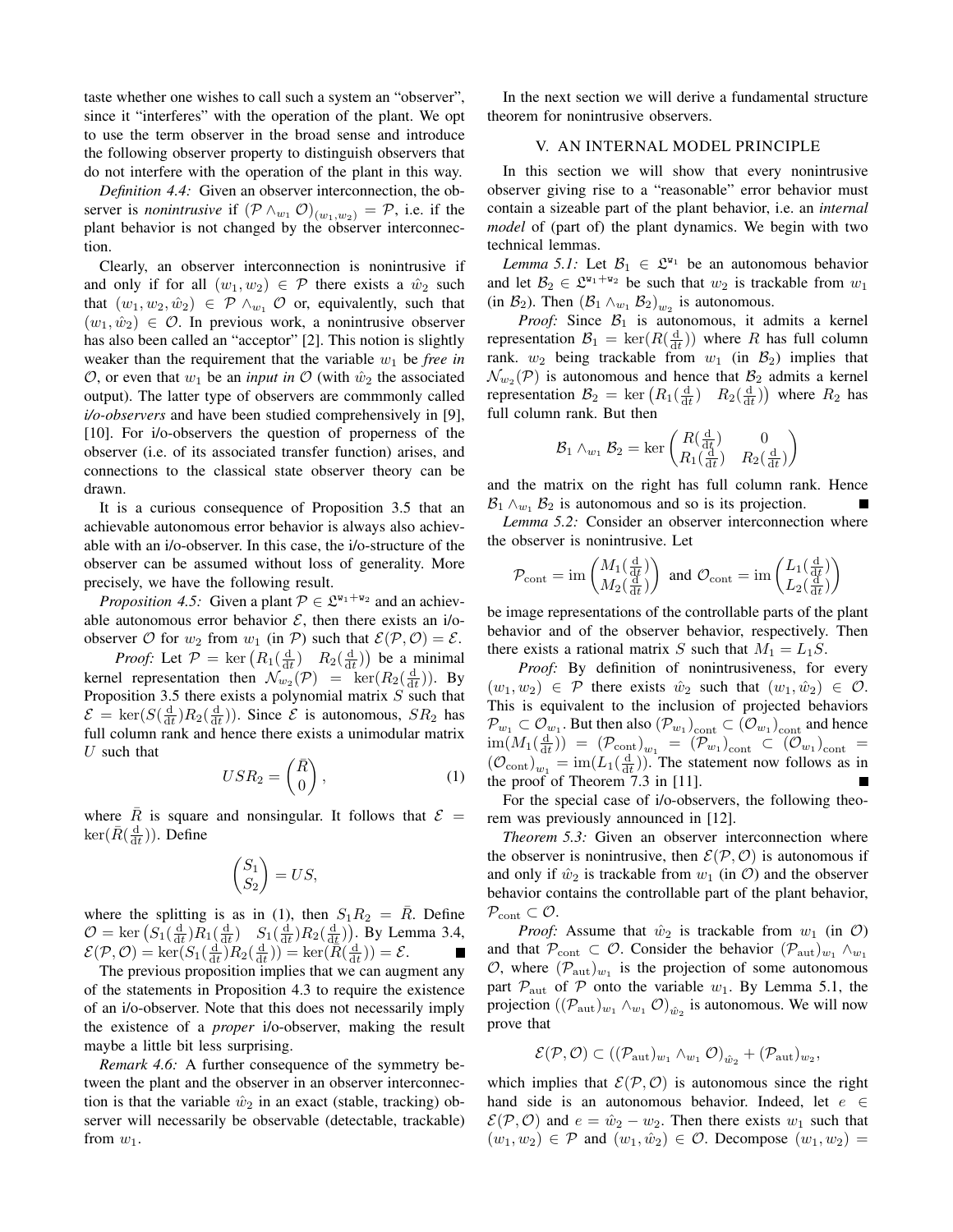taste whether one wishes to call such a system an "observer", since it "interferes" with the operation of the plant. We opt to use the term observer in the broad sense and introduce the following observer property to distinguish observers that do not interfere with the operation of the plant in this way.

*Definition 4.4:* Given an observer interconnection, the observer is *nonintrusive* if  $(\mathcal{P} \wedge_{w_1} \mathcal{O})_{(w_1,w_2)} = \mathcal{P}$ , i.e. if the plant behavior is not changed by the observer interconnection.

Clearly, an observer interconnection is nonintrusive if and only if for all  $(w_1, w_2) \in \mathcal{P}$  there exists a  $\hat{w}_2$  such that  $(w_1, w_2, \hat{w}_2) \in \mathcal{P} \wedge_{w_1} \mathcal{O}$  or, equivalently, such that  $(w_1, \hat{w}_2) \in \mathcal{O}$ . In previous work, a nonintrusive observer has also been called an "acceptor" [2]. This notion is slightly weaker than the requirement that the variable  $w_1$  be *free in*  $\mathcal{O}$ , or even that  $w_1$  be an *input in*  $\mathcal{O}$  (with  $\hat{w}_2$  the associated output). The latter type of observers are commmonly called *i/o-observers* and have been studied comprehensively in [9], [10]. For i/o-observers the question of properness of the observer (i.e. of its associated transfer function) arises, and connections to the classical state observer theory can be drawn.

It is a curious consequence of Proposition 3.5 that an achievable autonomous error behavior is always also achievable with an i/o-observer. In this case, the i/o-structure of the observer can be assumed without loss of generality. More precisely, we have the following result.

*Proposition 4.5:* Given a plant  $P \in \mathcal{L}^{w_1 + w_2}$  and an achievable autonomous error behavior  $\mathcal{E}$ , then there exists an i/oobserver O for  $w_2$  from  $w_1$  (in P) such that  $\mathcal{E}(\mathcal{P}, \mathcal{O}) = \mathcal{E}$ .

*Proof:* Let  $P = \ker (R_1(\frac{d}{dt}) \ R_2(\frac{d}{dt}))$  be a minimal kernel representation then  $\mathcal{N}_{w_2}(\mathcal{P}) = \ker(R_2(\frac{d}{dt}))$ . By Proposition 3.5 there exists a polynomial matrix  $S$  such that  $\mathcal{E} = \ker(S(\frac{d}{dt})R_2(\frac{d}{dt}))$ . Since  $\mathcal{E}$  is autonomous,  $SR_2$  has full column rank and hence there exists a unimodular matrix  $U$  such that

$$
USR_2 = \begin{pmatrix} \bar{R} \\ 0 \end{pmatrix}, \tag{1}
$$

where  $\overline{R}$  is square and nonsingular. It follows that  $\mathcal{E} =$  $\ker(\bar{R}(\frac{d}{dt}))$ . Define

$$
\binom{S_1}{S_2} = US,
$$

where the splitting is as in (1), then  $S_1R_2 = \overline{R}$ . Define  $\mathcal{O} = \ker \left( S_1(\frac{d}{dt}) R_1(\frac{d}{dt}) \quad S_1(\frac{d}{dt}) R_2(\frac{d}{dt}) \right)$ . By Lemma 3.4,  $\mathcal{E}(\mathcal{P}, \mathcal{O}) = \ker(S_1(\frac{\mathrm{d}}{\mathrm{d}t})R_2(\frac{\mathrm{d}}{\mathrm{d}t})) = \ker(\overline{R}(\frac{\mathrm{d}}{\mathrm{d}t})) = \mathcal{E}.$ 

The previous proposition implies that we can augment any of the statements in Proposition 4.3 to require the existence of an i/o-observer. Note that this does not necessarily imply the existence of a *proper* i/o-observer, making the result maybe a little bit less surprising.

*Remark 4.6:* A further consequence of the symmetry between the plant and the observer in an observer interconnection is that the variable  $\hat{w}_2$  in an exact (stable, tracking) observer will necessarily be observable (detectable, trackable) from  $w_1$ .

In the next section we will derive a fundamental structure theorem for nonintrusive observers.

# V. AN INTERNAL MODEL PRINCIPLE

In this section we will show that every nonintrusive observer giving rise to a "reasonable" error behavior must contain a sizeable part of the plant behavior, i.e. an *internal model* of (part of) the plant dynamics. We begin with two technical lemmas.

*Lemma 5.1:* Let  $\mathcal{B}_1 \in \mathcal{L}^{w_1}$  be an autonomous behavior and let  $\mathcal{B}_2 \in \mathfrak{L}^{w_1 + w_2}$  be such that  $w_2$  is trackable from  $w_1$ (in  $B_2$ ). Then  $(B_1 \wedge_{w_1} B_2)_{w_2}$  is autonomous.

*Proof:* Since  $B_1$  is autonomous, it admits a kernel representation  $B_1 = \ker(R(\frac{d}{dt}))$  where R has full column rank.  $w_2$  being trackable from  $w_1$  (in  $\mathcal{B}_2$ ) implies that  $\mathcal{N}_{w_2}(\mathcal{P})$  is autonomous and hence that  $\mathcal{B}_2$  admits a kernel representation  $B_2 = \ker (R_1(\frac{d}{dt}) \ R_2(\frac{d}{dt}))$  where  $R_2$  has full column rank. But then

$$
\mathcal{B}_1 \wedge_{w_1} \mathcal{B}_2 = \ker \begin{pmatrix} R(\frac{\mathrm{d}}{\mathrm{d}t}) & 0\\ R_1(\frac{\mathrm{d}}{\mathrm{d}t}) & R_2(\frac{\mathrm{d}}{\mathrm{d}t}) \end{pmatrix}
$$

and the matrix on the right has full column rank. Hence  $\mathcal{B}_1 \wedge_{w_1} \mathcal{B}_2$  is autonomous and so is its projection.

*Lemma 5.2:* Consider an observer interconnection where the observer is nonintrusive. Let

$$
\mathcal{P}_{\text{cont}} = \text{im}\left(\frac{M_1(\frac{\text{d}}{\text{d}t})}{M_2(\frac{\text{d}}{\text{d}t})}\right) \text{ and } \mathcal{O}_{\text{cont}} = \text{im}\left(\frac{L_1(\frac{\text{d}}{\text{d}t})}{L_2(\frac{\text{d}}{\text{d}t})}\right)
$$

be image representations of the controllable parts of the plant behavior and of the observer behavior, respectively. Then there exists a rational matrix S such that  $M_1 = L_1S$ .

Proof: By definition of nonintrusiveness, for every  $(w_1, w_2) \in \mathcal{P}$  there exists  $\hat{w}_2$  such that  $(w_1, \hat{w}_2) \in \mathcal{O}$ . This is equivalent to the inclusion of projected behaviors  $\mathcal{P}_{w_1} \subset \mathcal{O}_{w_1}.$  But then also  $(\mathcal{P}_{w_1})_{\mathrm{cont}} \subset (\mathcal{O}_{w_1})_{\mathrm{cont}}$  and hence  $\lim(M_1(\frac{d}{dt})) = (\mathcal{P}_{\text{cont}})_{w_1} = (\mathcal{P}_{w_1})_{\text{cont}} \subset (\mathcal{O}_{w_1})_{\text{cont}} =$  $(\mathcal{O}_{\text{cont}})_{w_1} = \text{im}(L_1(\frac{d}{dt}))$ . The statement now follows as in the proof of Theorem 7.3 in [11].

For the special case of i/o-observers, the following theorem was previously announced in [12].

*Theorem 5.3:* Given an observer interconnection where the observer is nonintrusive, then  $\mathcal{E}(\mathcal{P}, \mathcal{O})$  is autonomous if and only if  $\hat{w}_2$  is trackable from  $w_1$  (in  $\mathcal{O}$ ) and the observer behavior contains the controllable part of the plant behavior,  $\mathcal{P}_{\text{cont}} \subset \mathcal{O}.$ 

*Proof:* Assume that  $\hat{w}_2$  is trackable from  $w_1$  (in  $\mathcal{O}$ ) and that  $\mathcal{P}_{\text{cont}} \subset \mathcal{O}$ . Consider the behavior  $(\mathcal{P}_{\text{aut}})_{w_1} \wedge_{w_1}$  $\mathcal{O}$ , where  $(\mathcal{P}_{\text{aut}})_{w_1}$  is the projection of some autonomous part  $P_{\text{aut}}$  of  $P$  onto the variable  $w_1$ . By Lemma 5.1, the projection  $((P_{\text{aut}})_{w_1} \wedge_{w_1} \mathcal{O})_{\hat{w}_2}$  is autonomous. We will now prove that

$$
\mathcal{E}(\mathcal{P},\mathcal{O}) \subset ((\mathcal{P}_{\text{aut}})_{w_1} \wedge_{w_1} \mathcal{O})_{\hat{w}_2} + (\mathcal{P}_{\text{aut}})_{w_2},
$$

which implies that  $\mathcal{E}(\mathcal{P}, \mathcal{O})$  is autonomous since the right hand side is an autonomous behavior. Indeed, let  $e \in$  $\mathcal{E}(\mathcal{P}, \mathcal{O})$  and  $e = \hat{w}_2 - w_2$ . Then there exists  $w_1$  such that  $(w_1, w_2) \in \mathcal{P}$  and  $(w_1, \hat{w}_2) \in \mathcal{O}$ . Decompose  $(w_1, w_2) =$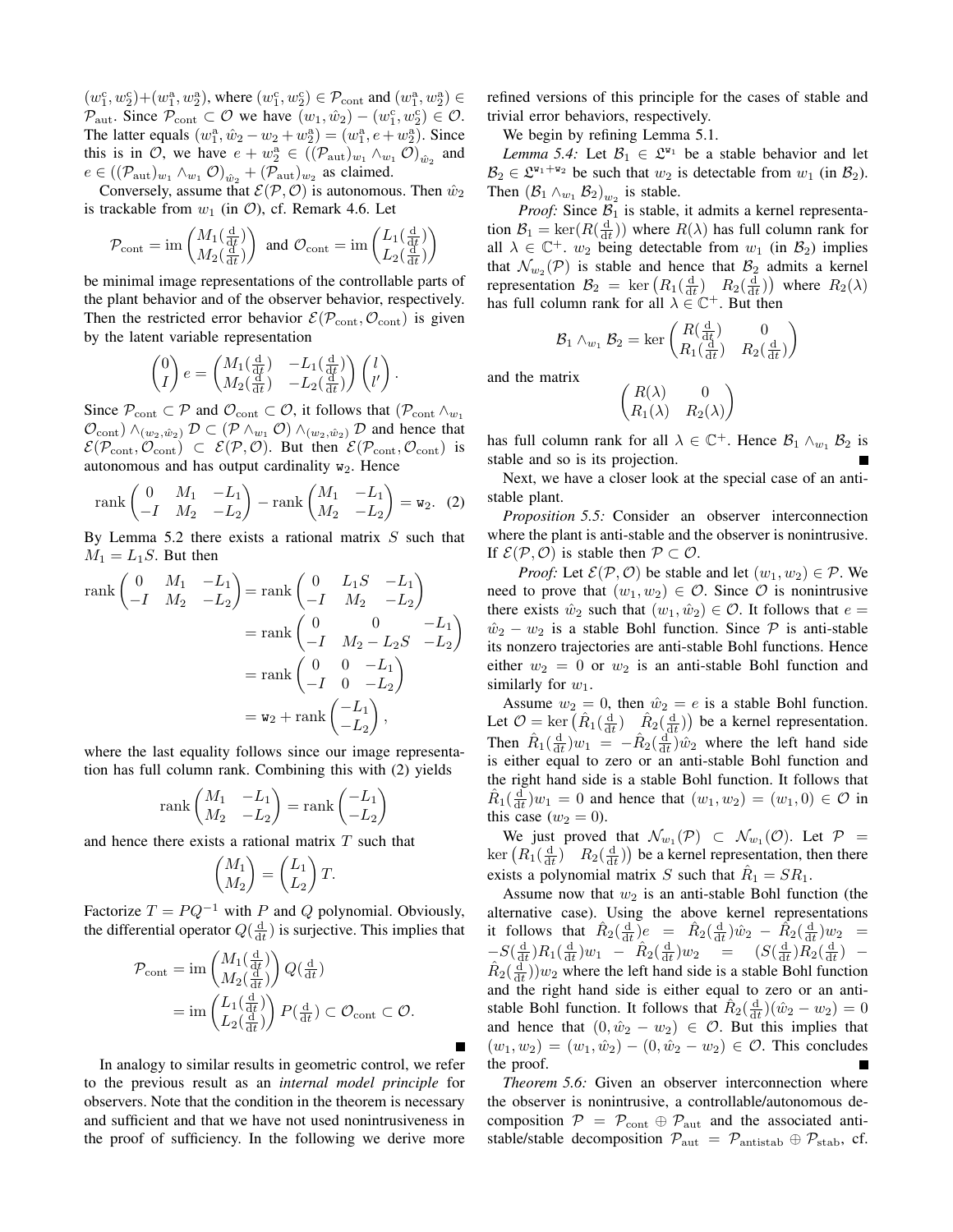$(w_1^{\rm c}, w_2^{\rm c}) + (w_1^{\rm a}, w_2^{\rm a})$ , where  $(w_1^{\rm c}, w_2^{\rm c}) \in \mathcal{P}_{\rm cont}$  and  $(w_1^{\rm a}, w_2^{\rm a}) \in$  $\mathcal{P}_{\text{aut}}$ . Since  $\mathcal{P}_{\text{cont}} \subset \mathcal{O}$  we have  $(w_1, \hat{w}_2) - (w_1^c, w_2^c) \in \mathcal{O}$ . The latter equals  $(w_1^a, \hat{w}_2 - w_2 + w_2^a) = (w_1^a, e + w_2^a)$ . Since this is in  $\mathcal{O}$ , we have  $e + w_2^a \in ((\mathcal{P}_{\text{aut}})_{w_1} \wedge_{w_1} \mathcal{O})_{\hat{w}_2}$  and  $e \in ((\mathcal{P}_{\text{aut}})_{w_1} \wedge_{w_1} \mathcal{O})_{\hat{w}_2} + (\mathcal{P}_{\text{aut}})_{w_2}$  as claimed.

Conversely, assume that  $\mathcal{E}(\mathcal{P}, \mathcal{O})$  is autonomous. Then  $\hat{w}_2$ is trackable from  $w_1$  (in  $\mathcal{O}$ ), cf. Remark 4.6. Let

$$
\mathcal{P}_{\text{cont}} = \text{im} \begin{pmatrix} M_1 \left( \frac{\text{d}}{\text{d}t} \right) \\ M_2 \left( \frac{\text{d}}{\text{d}t} \right) \end{pmatrix} \text{ and } \mathcal{O}_{\text{cont}} = \text{im} \begin{pmatrix} L_1 \left( \frac{\text{d}}{\text{d}t} \right) \\ L_2 \left( \frac{\text{d}}{\text{d}t} \right) \end{pmatrix}
$$

be minimal image representations of the controllable parts of the plant behavior and of the observer behavior, respectively. Then the restricted error behavior  $\mathcal{E}(\mathcal{P}_{\text{cont}}, \mathcal{O}_{\text{cont}})$  is given by the latent variable representation

$$
\begin{pmatrix} 0 \\ I \end{pmatrix} e = \begin{pmatrix} M_1(\frac{d}{dt}) & -L_1(\frac{d}{dt}) \\ M_2(\frac{d}{dt}) & -L_2(\frac{d}{dt}) \end{pmatrix} \begin{pmatrix} l \\ l' \end{pmatrix}.
$$

Since  $\mathcal{P}_{\text{cont}} \subset \mathcal{P}$  and  $\mathcal{O}_{\text{cont}} \subset \mathcal{O}$ , it follows that  $(\mathcal{P}_{\text{cont}} \wedge_{w_1} \mathcal{O})$  $(\mathcal{O}_{\text{cont}}) \wedge_{(w_2,\hat{w}_2)} \mathcal{D} \subset (\mathcal{P} \wedge_{w_1} \mathcal{O}) \wedge_{(w_2,\hat{w}_2)} \mathcal{D}$  and hence that  $\mathcal{E}(\mathcal{P}_{\text{cont}}, \mathcal{O}_{\text{cont}}) \subset \mathcal{E}(\mathcal{P}, \mathcal{O})$ . But then  $\mathcal{E}(\mathcal{P}_{\text{cont}}, \mathcal{O}_{\text{cont}})$  is autonomous and has output cardinality  $w_2$ . Hence

rank 
$$
\begin{pmatrix} 0 & M_1 & -L_1 \\ -I & M_2 & -L_2 \end{pmatrix}
$$
 - rank  $\begin{pmatrix} M_1 & -L_1 \\ M_2 & -L_2 \end{pmatrix}$  = w<sub>2</sub>. (2)

By Lemma 5.2 there exists a rational matrix  $S$  such that  $M_1 = L_1S$ . But then

rank 
$$
\begin{pmatrix} 0 & M_1 & -L_1 \\ -I & M_2 & -L_2 \end{pmatrix}
$$
 = rank  $\begin{pmatrix} 0 & L_1S & -L_1 \\ -I & M_2 & -L_2 \end{pmatrix}$   
\n= rank  $\begin{pmatrix} 0 & 0 & -L_1 \\ -I & M_2 - L_2S & -L_2 \end{pmatrix}$   
\n= rank  $\begin{pmatrix} 0 & 0 & -L_1 \\ -I & 0 & -L_2 \end{pmatrix}$   
\n= w<sub>2</sub> + rank  $\begin{pmatrix} -L_1 \\ -L_2 \end{pmatrix}$ ,

where the last equality follows since our image representation has full column rank. Combining this with (2) yields

$$
\operatorname{rank}\begin{pmatrix} M_1 & -L_1 \\ M_2 & -L_2 \end{pmatrix} = \operatorname{rank}\begin{pmatrix} -L_1 \\ -L_2 \end{pmatrix}
$$

and hence there exists a rational matrix  $T$  such that

$$
\begin{pmatrix} M_1 \\ M_2 \end{pmatrix} = \begin{pmatrix} L_1 \\ L_2 \end{pmatrix} T.
$$

Factorize  $T = PQ^{-1}$  with P and Q polynomial. Obviously, the differential operator  $Q(\frac{d}{dt})$  is surjective. This implies that

$$
\mathcal{P}_{\text{cont}} = \text{im} \left( \frac{M_1(\frac{d}{dt})}{M_2(\frac{d}{dt})} \right) Q(\frac{d}{dt})
$$
  
= 
$$
\text{im} \left( \frac{L_1(\frac{d}{dt})}{L_2(\frac{d}{dt})} \right) P(\frac{d}{dt}) \subset \mathcal{O}_{\text{cont}} \subset \mathcal{O}.
$$

In analogy to similar results in geometric control, we refer to the previous result as an *internal model principle* for observers. Note that the condition in the theorem is necessary and sufficient and that we have not used nonintrusiveness in the proof of sufficiency. In the following we derive more refined versions of this principle for the cases of stable and trivial error behaviors, respectively.

We begin by refining Lemma 5.1.

*Lemma 5.4:* Let  $\mathcal{B}_1 \in \mathcal{L}^{w_1}$  be a stable behavior and let  $\mathcal{B}_2 \in \mathfrak{L}^{w_1 + w_2}$  be such that  $w_2$  is detectable from  $w_1$  (in  $\mathcal{B}_2$ ). Then  $(\mathcal{B}_1 \wedge_{w_1} \mathcal{B}_2)_{w_2}$  is stable.

*Proof:* Since  $B_1$  is stable, it admits a kernel representation  $B_1 = \ker(R(\frac{d}{dt}))$  where  $R(\lambda)$  has full column rank for all  $\lambda \in \mathbb{C}^+$ .  $w_2$  being detectable from  $w_1$  (in  $\mathcal{B}_2$ ) implies that  $\mathcal{N}_{w_2}(\mathcal{P})$  is stable and hence that  $\mathcal{B}_2$  admits a kernel representation  $B_2$  = ker  $\left(R_1(\frac{d}{dt})\right)$   $R_2(\frac{d}{dt})$  where  $R_2(\lambda)$ has full column rank for all  $\lambda \in \mathbb{C}^+$ . But then

$$
\mathcal{B}_1 \wedge_{w_1} \mathcal{B}_2 = \ker \begin{pmatrix} R(\frac{\mathrm{d}}{\mathrm{d}t}) & 0 \\ R_1(\frac{\mathrm{d}}{\mathrm{d}t}) & R_2(\frac{\mathrm{d}}{\mathrm{d}t}) \end{pmatrix}
$$

and the matrix

$$
\begin{pmatrix}\nR(\lambda) & 0 \\
R_1(\lambda) & R_2(\lambda)\n\end{pmatrix}
$$

has full column rank for all  $\lambda \in \mathbb{C}^+$ . Hence  $\mathcal{B}_1 \wedge_{w_1} \mathcal{B}_2$  is stable and so is its projection.

Next, we have a closer look at the special case of an antistable plant.

*Proposition 5.5:* Consider an observer interconnection where the plant is anti-stable and the observer is nonintrusive. If  $\mathcal{E}(\mathcal{P}, \mathcal{O})$  is stable then  $\mathcal{P} \subset \mathcal{O}$ .

*Proof:* Let  $\mathcal{E}(\mathcal{P}, \mathcal{O})$  be stable and let  $(w_1, w_2) \in \mathcal{P}$ . We need to prove that  $(w_1, w_2) \in \mathcal{O}$ . Since  $\mathcal O$  is nonintrusive there exists  $\hat{w}_2$  such that  $(w_1, \hat{w}_2) \in \mathcal{O}$ . It follows that  $e =$  $\hat{w}_2 - w_2$  is a stable Bohl function. Since  $P$  is anti-stable its nonzero trajectories are anti-stable Bohl functions. Hence either  $w_2 = 0$  or  $w_2$  is an anti-stable Bohl function and similarly for  $w_1$ .

Assume  $w_2 = 0$ , then  $\hat{w}_2 = e$  is a stable Bohl function. Let  $\mathcal{O} = \ker \left( \hat{R}_1(\frac{d}{dt}) - \hat{R}_2(\frac{d}{dt}) \right)$  be a kernel representation. Then  $\hat{R}_1(\frac{d}{dt})w_1 = -\hat{R}_2(\frac{d}{dt})\hat{w}_2$  where the left hand side is either equal to zero or an anti-stable Bohl function and the right hand side is a stable Bohl function. It follows that  $\hat{R}_1(\frac{d}{dt})w_1 = 0$  and hence that  $(w_1, w_2) = (w_1, 0) \in \mathcal{O}$  in this case  $(w_2 = 0)$ .

We just proved that  $\mathcal{N}_{w_1}(\mathcal{P}) \subset \mathcal{N}_{w_1}(\mathcal{O})$ . Let  $\mathcal{P} =$ ker  $(R_1(\frac{d}{dt})$   $R_2(\frac{d}{dt})$  be a kernel representation, then there exists a polynomial matrix S such that  $\hat{R}_1 = SR_1$ .

Assume now that  $w_2$  is an anti-stable Bohl function (the alternative case). Using the above kernel representations it follows that  $\hat{R}_2(\frac{d}{dt})e = \hat{R}_2(\frac{d}{dt})\hat{w}_2 - \hat{R}_2(\frac{d}{dt})w_2 =$  $-S(\frac{d}{dt})R_1(\frac{d}{dt})w_1 - \hat{R}_2(\frac{d}{dt})w_2 = (S(\frac{d}{dt})R_2(\frac{d}{dt}) \hat{R}_2(\frac{d}{dt})$ ) $w_2$  where the left hand side is a stable Bohl function and the right hand side is either equal to zero or an antistable Bohl function. It follows that  $\hat{R}_2(\frac{d}{dt})(\hat{w}_2 - w_2) = 0$ and hence that  $(0, \hat{w}_2 - w_2) \in \mathcal{O}$ . But this implies that  $(w_1, w_2) = (w_1, \hat{w}_2) - (0, \hat{w}_2 - w_2) \in \mathcal{O}$ . This concludes the proof.

*Theorem 5.6:* Given an observer interconnection where the observer is nonintrusive, a controllable/autonomous decomposition  $\mathcal{P} = \mathcal{P}_{cont} \oplus \mathcal{P}_{aut}$  and the associated antistable/stable decomposition  $\mathcal{P}_{\text{aut}} = \mathcal{P}_{\text{antistab}} \oplus \mathcal{P}_{\text{stab}}$ , cf.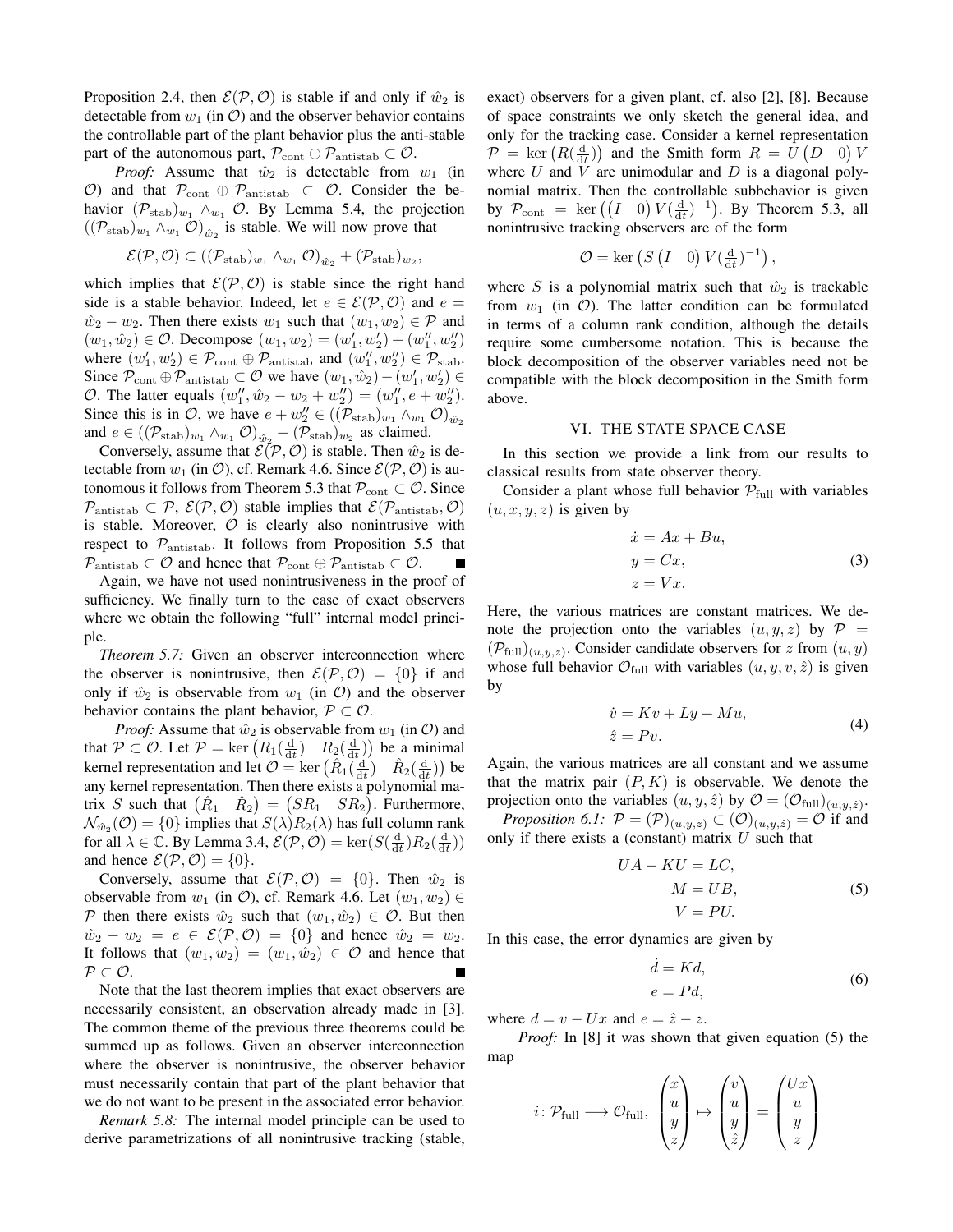Proposition 2.4, then  $\mathcal{E}(\mathcal{P}, \mathcal{O})$  is stable if and only if  $\hat{w}_2$  is detectable from  $w_1$  (in  $\mathcal{O}$ ) and the observer behavior contains the controllable part of the plant behavior plus the anti-stable part of the autonomous part,  $\mathcal{P}_{\text{cont}} \oplus \mathcal{P}_{\text{antistab}} \subset \mathcal{O}$ .

*Proof:* Assume that  $\hat{w}_2$  is detectable from  $w_1$  (in O) and that  $\mathcal{P}_{\text{cont}} \oplus \mathcal{P}_{\text{antistab}} \subset \mathcal{O}$ . Consider the behavior  $(\mathcal{P}_{\text{stab}})_{w_1} \wedge_{w_1} \mathcal{O}$ . By Lemma 5.4, the projection  $((P_{\text{stab}})_{w_1} \wedge_{w_1} \mathcal{O})_{\hat{w}_2}$  is stable. We will now prove that

$$
\mathcal{E}(\mathcal{P}, \mathcal{O}) \subset ((\mathcal{P}_{\operatorname{stab}})_{w_1} \wedge_{w_1} \mathcal{O})_{\hat{w}_2} + (\mathcal{P}_{\operatorname{stab}})_{w_2}
$$

,

which implies that  $\mathcal{E}(\mathcal{P}, \mathcal{O})$  is stable since the right hand side is a stable behavior. Indeed, let  $e \in \mathcal{E}(\mathcal{P}, \mathcal{O})$  and  $e =$  $\hat{w}_2 - w_2$ . Then there exists  $w_1$  such that  $(w_1, w_2) \in \mathcal{P}$  and  $(w_1, \hat{w}_2) \in \mathcal{O}$ . Decompose  $(w_1, w_2) = (w'_1, w'_2) + (w''_1, w''_2)$ where  $(w'_1, w'_2) \in \mathcal{P}_{\text{cont}} \oplus \mathcal{P}_{\text{antistab}}$  and  $(w''_1, w''_2) \in \mathcal{P}_{\text{stab}}$ . Since  $\mathcal{P}_{\text{cont}} \oplus \mathcal{P}_{\text{antistab}} \subset \mathcal{O}$  we have  $(w_1, \hat{w}_2) - (w'_1, w'_2) \in$ O. The latter equals  $(w''_1, \hat{w}_2 - w_2 + w''_2) = (w''_1, e + w''_2)$ . Since this is in  $\mathcal{O}$ , we have  $e + w''_2 \in ((\mathcal{P}_{stab})_{w_1} \wedge_{w_1} \mathcal{O})_{\hat{w}_2}$ and  $e \in ((\mathcal{P}_{stab})_{w_1} \wedge_{w_1} \mathcal{O})_{\hat{w}_2} + (\mathcal{P}_{stab})_{w_2}$  as claimed.

Conversely, assume that  $\mathcal{E}(\mathcal{P}, \mathcal{O})$  is stable. Then  $\hat{w}_2$  is detectable from  $w_1$  (in  $\mathcal{O}$ ), cf. Remark 4.6. Since  $\mathcal{E}(\mathcal{P}, \mathcal{O})$  is autonomous it follows from Theorem 5.3 that  $P_{\text{cont}} \subset \mathcal{O}$ . Since  $\mathcal{P}_{\text{antistab}} \subset \mathcal{P}, \, \mathcal{E}(\mathcal{P}, \mathcal{O})$  stable implies that  $\mathcal{E}(\mathcal{P}_{\text{antistab}}, \mathcal{O})$ is stable. Moreover,  $\mathcal O$  is clearly also nonintrusive with respect to  $P_{\text{antistab}}$ . It follows from Proposition 5.5 that  $\mathcal{P}_{\text{antistab}} \subset \mathcal{O}$  and hence that  $\mathcal{P}_{\text{cont}} \oplus \mathcal{P}_{\text{antistab}} \subset \mathcal{O}$ .

Again, we have not used nonintrusiveness in the proof of sufficiency. We finally turn to the case of exact observers where we obtain the following "full" internal model principle.

*Theorem 5.7:* Given an observer interconnection where the observer is nonintrusive, then  $\mathcal{E}(\mathcal{P}, \mathcal{O}) = \{0\}$  if and only if  $\hat{w}_2$  is observable from  $w_1$  (in  $\mathcal{O}$ ) and the observer behavior contains the plant behavior,  $P \subset \mathcal{O}$ .

*Proof:* Assume that  $\hat{w}_2$  is observable from  $w_1$  (in  $\mathcal{O}$ ) and that  $P \subset O$ . Let  $P = \ker (R_1(\frac{d}{dt}) \ R_2(\frac{d}{dt}))$  be a minimal kernel representation and let  $\mathcal{O} = \ker \left( \hat{R}_1(\frac{d}{dt}) - \hat{R}_2(\frac{d}{dt}) \right)$  be any kernel representation. Then there exists a polynomial matrix S such that  $(\hat{R}_1 \quad \hat{R}_2) = (SR_1 \quad SR_2)$ . Furthermore,  $\mathcal{N}_{\hat{w}_2}(\mathcal{O})=\{0\}$  implies that  $S(\lambda)R_2(\lambda)$  has full column rank for all  $\lambda \in \mathbb{C}$ . By Lemma 3.4,  $\mathcal{E}(\mathcal{P}, \mathcal{O}) = \ker(S(\frac{d}{dt})R_2(\frac{d}{dt}))$ and hence  $\mathcal{E}(\mathcal{P}, \mathcal{O}) = \{0\}.$ 

Conversely, assume that  $\mathcal{E}(\mathcal{P}, \mathcal{O}) = \{0\}$ . Then  $\hat{w}_2$  is observable from  $w_1$  (in  $\mathcal{O}$ ), cf. Remark 4.6. Let  $(w_1, w_2) \in$ P then there exists  $\hat{w}_2$  such that  $(w_1, \hat{w}_2) \in \mathcal{O}$ . But then  $\hat{w}_2 - w_2 = e \in \mathcal{E}(\mathcal{P}, \mathcal{O}) = \{0\}$  and hence  $\hat{w}_2 = w_2$ . It follows that  $(w_1, w_2) = (w_1, \hat{w}_2) \in \mathcal{O}$  and hence that  $P \subset \mathcal{O}$ .

Note that the last theorem implies that exact observers are necessarily consistent, an observation already made in [3]. The common theme of the previous three theorems could be summed up as follows. Given an observer interconnection where the observer is nonintrusive, the observer behavior must necessarily contain that part of the plant behavior that we do not want to be present in the associated error behavior.

*Remark 5.8:* The internal model principle can be used to derive parametrizations of all nonintrusive tracking (stable, exact) observers for a given plant, cf. also [2], [8]. Because of space constraints we only sketch the general idea, and only for the tracking case. Consider a kernel representation  $\mathcal{P} = \text{ker} (R(\frac{d}{dt}))$  and the Smith form  $R = U(D \ 0) V$ where  $U$  and  $V$  are unimodular and  $D$  is a diagonal polynomial matrix. Then the controllable subbehavior is given by  $\mathcal{P}_{\text{cont}} = \ker((I \ 0) V(\frac{d}{dt})^{-1})$ . By Theorem 5.3, all nonintrusive tracking observers are of the form

$$
\mathcal{O} = \ker \left( S \left( I \quad 0 \right) V \left( \frac{\mathrm{d}}{\mathrm{d}t} \right)^{-1} \right),
$$

where S is a polynomial matrix such that  $\hat{w}_2$  is trackable from  $w_1$  (in  $\mathcal{O}$ ). The latter condition can be formulated in terms of a column rank condition, although the details require some cumbersome notation. This is because the block decomposition of the observer variables need not be compatible with the block decomposition in the Smith form above.

# VI. THE STATE SPACE CASE

In this section we provide a link from our results to classical results from state observer theory.

Consider a plant whose full behavior  $P_{\text{full}}$  with variables  $(u, x, y, z)$  is given by

$$
\begin{aligned}\n\dot{x} &= Ax + Bu, \\
y &= Cx, \\
z &= Vx.\n\end{aligned}
$$
\n(3)

Here, the various matrices are constant matrices. We denote the projection onto the variables  $(u, y, z)$  by  $\mathcal{P}$  =  $(\mathcal{P}_{\text{full}})_{(u,y,z)}$ . Consider candidate observers for z from  $(u, y)$ whose full behavior  $\mathcal{O}_{\text{full}}$  with variables  $(u, y, v, \hat{z})$  is given by

$$
\begin{aligned} \dot{v} &= Kv + Ly + Mu, \\ \n\hat{z} &= Pv. \end{aligned} \tag{4}
$$

Again, the various matrices are all constant and we assume that the matrix pair  $(P, K)$  is observable. We denote the projection onto the variables  $(u, y, \hat{z})$  by  $\mathcal{O} = (\mathcal{O}_{\text{full}})_{(u, y, \hat{z})}$ .

*Proposition 6.1:*  $\mathcal{P} = (\mathcal{P})_{(u,y,z)} \subset (\mathcal{O})_{(u,y,\hat{z})} = \mathcal{O}$  if and only if there exists a (constant) matrix  $U$  such that

$$
UA - KU = LC,
$$
  
\n
$$
M = UB,
$$
  
\n
$$
V = PU.
$$
\n(5)

In this case, the error dynamics are given by

$$
\begin{aligned}\n\dot{d} &= Kd, \\
e &= Pd,\n\end{aligned}\n\tag{6}
$$

where  $d = v - Ux$  and  $e = \hat{z} - z$ .

*Proof:* In [8] it was shown that given equation (5) the map

$$
i: \mathcal{P}_{\text{full}} \longrightarrow \mathcal{O}_{\text{full}}, \begin{pmatrix} x \\ u \\ y \\ z \end{pmatrix} \mapsto \begin{pmatrix} v \\ u \\ y \\ \hat{z} \end{pmatrix} = \begin{pmatrix} Ux \\ u \\ y \\ z \end{pmatrix}
$$